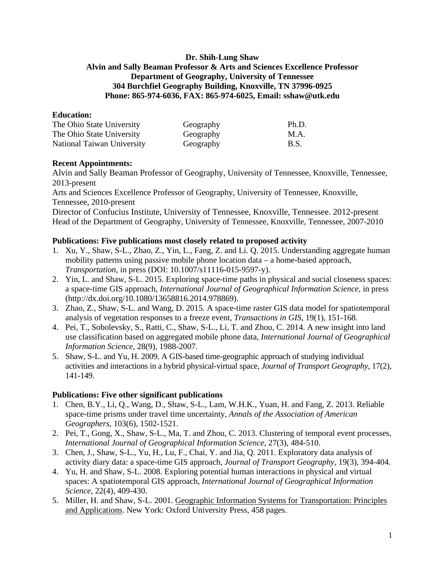## **Dr. Shih-Lung Shaw Alvin and Sally Beaman Professor & Arts and Sciences Excellence Professor Department of Geography, University of Tennessee 304 Burchfiel Geography Building, Knoxville, TN 37996-0925 Phone: 865-974-6036, FAX: 865-974-6025, Email: sshaw@utk.edu**

## **Education:**

| The Ohio State University  | Geography | Ph.D. |
|----------------------------|-----------|-------|
| The Ohio State University  | Geography | M.A.  |
| National Taiwan University | Geography | B.S.  |

#### **Recent Appointments:**

Alvin and Sally Beaman Professor of Geography, University of Tennessee, Knoxville, Tennessee, 2013-present

Arts and Sciences Excellence Professor of Geography, University of Tennessee, Knoxville, Tennessee, 2010-present

Director of Confucius Institute, University of Tennessee, Knoxville, Tennessee. 2012-present Head of the Department of Geography, University of Tennessee, Knoxville, Tennessee, 2007-2010

#### **Publications: Five publications most closely related to proposed activity**

- 1. Xu, Y., Shaw, S-L., Zhao, Z., Yin, L., Fang, Z. and Li. Q. 2015. Understanding aggregate human mobility patterns using passive mobile phone location data – a home-based approach, *Transportation*, in press (DOI: 10.1007/s11116-015-9597-y).
- 2. Yin, L. and Shaw, S-L. 2015. Exploring space-time paths in physical and social closeness spaces: a space-time GIS approach, *International Journal of Geographical Information Science*, in press (http://dx.doi.org/10.1080/13658816.2014.978869).
- 3. Zhao, Z., Shaw, S-L. and Wang, D. 2015. A space-time raster GIS data model for spatiotemporal analysis of vegetation responses to a freeze event, *Transactions in GIS*, 19(1), 151-168.
- 4. Pei, T., Sobolevsky, S., Ratti, C., Shaw, S-L., Li, T. and Zhou, C. 2014. A new insight into land use classification based on aggregated mobile phone data, *International Journal of Geographical Information Science*, 28(9), 1988-2007.
- 5. Shaw, S-L. and Yu, H. 2009. A GIS-based time-geographic approach of studying individual activities and interactions in a hybrid physical-virtual space, *Journal of Transport Geography*, 17(2), 141-149.

## **Publications: Five other significant publications**

- 1. Chen, B.Y., Li, Q., Wang, D., Shaw, S-L., Lam, W.H.K., Yuan, H. and Fang, Z. 2013. Reliable space-time prisms under travel time uncertainty, *Annals of the Association of American Geographers*, 103(6), 1502-1521.
- 2. Pei, T., Gong, X., Shaw, S-L., Ma, T. and Zhou, C. 2013. Clustering of temporal event processes, *International Journal of Geographical Information Science*, 27(3), 484-510.
- 3. Chen, J., Shaw, S-L., Yu, H., Lu, F., Chai, Y. and Jia, Q. 2011. Exploratory data analysis of activity diary data: a space-time GIS approach, *Journal of Transport Geography*, 19(3), 394-404.
- 4. Yu, H. and Shaw, S-L. 2008. Exploring potential human interactions in physical and virtual spaces: A spatiotemporal GIS approach, *International Journal of Geographical Information Science*, 22(4), 409-430.
- 5. Miller, H. and Shaw, S-L. 2001. Geographic Information Systems for Transportation: Principles and Applications. New York: Oxford University Press, 458 pages.